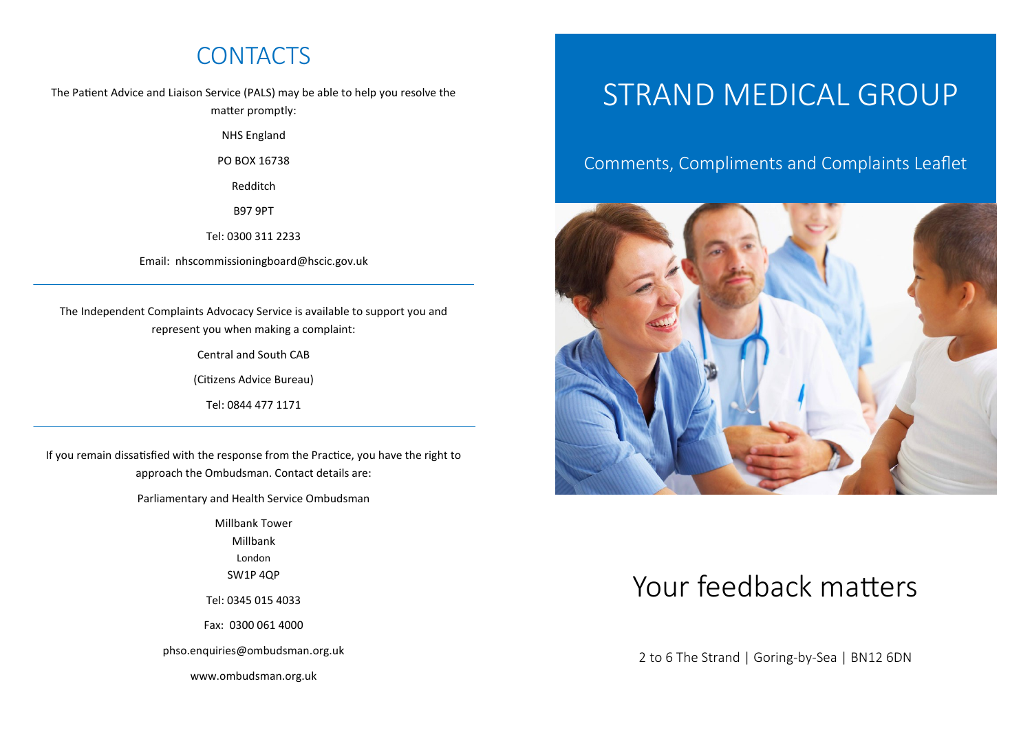# **CONTACTS**

The Patient Advice and Liaison Service (PALS) may be able to help you resolve the matter promptly:

NHS England

PO BOX 16738

Redditch

B97 9PT

Tel: 0300 311 2233

Email: nhscommissioningboard@hscic.gov.uk

The Independent Complaints Advocacy Service is available to support you and represent you when making a complaint:

Central and South CAB

(Citizens Advice Bureau)

Tel: 0844 477 1171

If you remain dissatisfied with the response from the Practice, you have the right to approach the Ombudsman. Contact details are:

Parliamentary and Health Service Ombudsman

Millbank Tower

Millbank

London

SW1P 4QP

Tel: 0345 015 4033

Fax: 0300 061 4000

phso.enquiries@ombudsman.org.uk

www.ombudsman.org.uk

# STRAND MEDICAL GROUP

#### Comments, Compliments and Complaints Leaflet



# Your feedback matters

2 to 6 The Strand | Goring-by-Sea | BN12 6DN